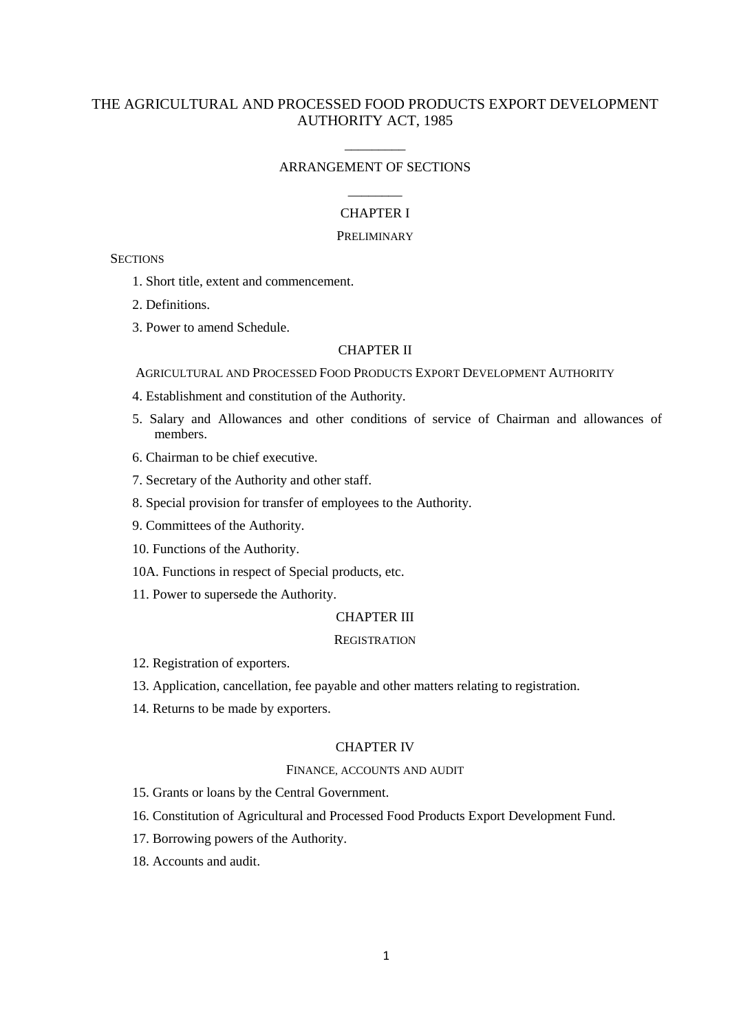# THE AGRICULTURAL AND PROCESSED FOOD PRODUCTS EXPORT DEVELOPMENT AUTHORITY ACT, 1985

# \_\_\_\_\_\_\_\_\_ ARRANGEMENT OF SECTIONS

# \_\_\_\_\_\_\_\_ CHAPTER I

### **PRELIMINARY**

**SECTIONS** 

- 1. Short title, extent and commencement.
- 2. Definitions.
- 3. Power to amend Schedule.

#### CHAPTER II

AGRICULTURAL AND PROCESSED FOOD PRODUCTS EXPORT DEVELOPMENT AUTHORITY

- 4. Establishment and constitution of the Authority.
- 5. Salary and Allowances and other conditions of service of Chairman and allowances of members.
- 6. Chairman to be chief executive.
- 7. Secretary of the Authority and other staff.
- 8. Special provision for transfer of employees to the Authority.
- 9. Committees of the Authority.
- 10. Functions of the Authority.
- 10A. Functions in respect of Special products, etc.
- 11. Power to supersede the Authority.

#### CHAPTER III

#### **REGISTRATION**

- 12. Registration of exporters.
- 13. Application, cancellation, fee payable and other matters relating to registration.
- 14. Returns to be made by exporters.

### CHAPTER IV

### FINANCE, ACCOUNTS AND AUDIT

15. Grants or loans by the Central Government.

- 16. Constitution of Agricultural and Processed Food Products Export Development Fund.
- 17. Borrowing powers of the Authority.
- 18. Accounts and audit.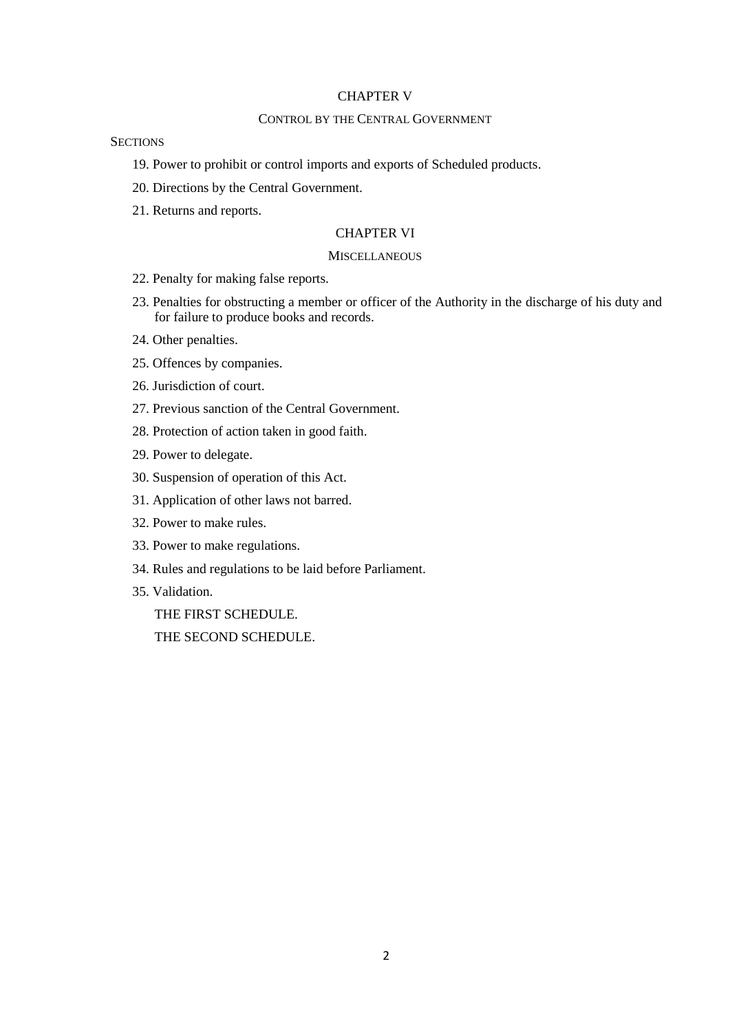### CHAPTER V

### CONTROL BY THE CENTRAL GOVERNMENT

### **SECTIONS**

- 19. Power to prohibit or control imports and exports of Scheduled products.
- 20. Directions by the Central Government.
- 21. Returns and reports.

### CHAPTER VI

### **MISCELLANEOUS**

- 22. Penalty for making false reports.
- 23. Penalties for obstructing a member or officer of the Authority in the discharge of his duty and for failure to produce books and records.
- 24. Other penalties.
- 25. Offences by companies.
- 26. Jurisdiction of court.
- 27. Previous sanction of the Central Government.
- 28. Protection of action taken in good faith.
- 29. Power to delegate.
- 30. Suspension of operation of this Act.
- 31. Application of other laws not barred.
- 32. Power to make rules.
- 33. Power to make regulations.
- 34. Rules and regulations to be laid before Parliament.
- 35. Validation.

THE FIRST SCHEDULE.

THE SECOND SCHEDULE.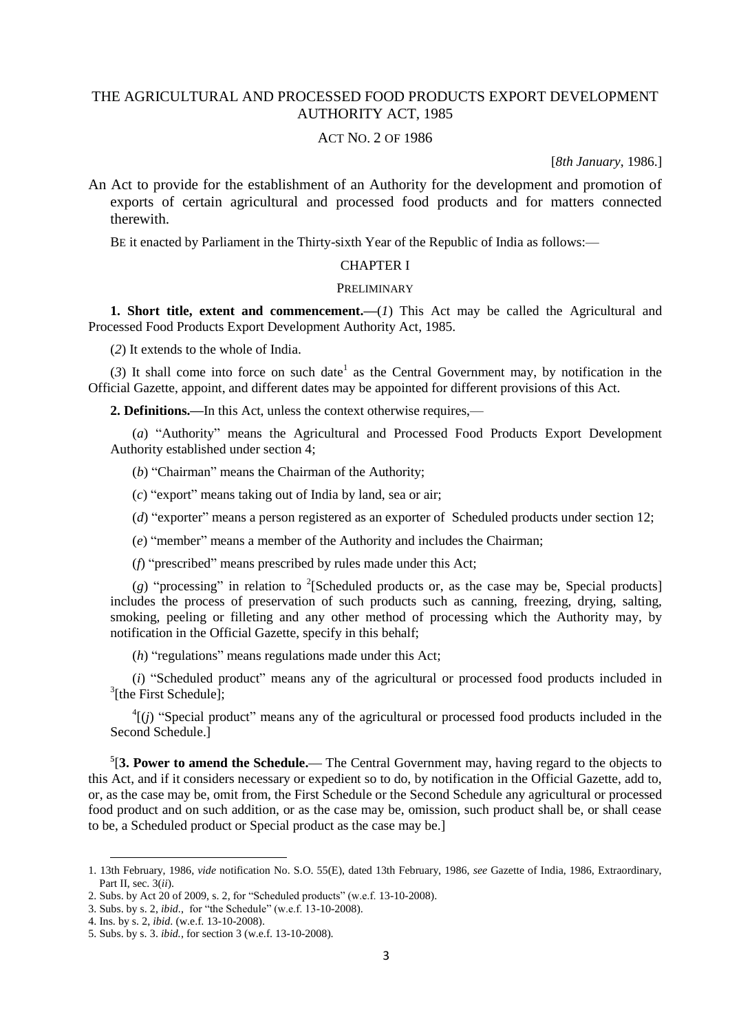## THE AGRICULTURAL AND PROCESSED FOOD PRODUCTS EXPORT DEVELOPMENT AUTHORITY ACT, 1985

#### ACT NO. 2 OF 1986

[*8th January*, 1986.]

An Act to provide for the establishment of an Authority for the development and promotion of exports of certain agricultural and processed food products and for matters connected therewith.

BE it enacted by Parliament in the Thirty-sixth Year of the Republic of India as follows:—

#### CHAPTER I

#### PRELIMINARY

**1. Short title, extent and commencement.—**(*1*) This Act may be called the Agricultural and Processed Food Products Export Development Authority Act, 1985.

(*2*) It extends to the whole of India.

 $(3)$  It shall come into force on such date<sup>1</sup> as the Central Government may, by notification in the Official Gazette, appoint, and different dates may be appointed for different provisions of this Act.

**2. Definitions.—**In this Act, unless the context otherwise requires,—

(*a*) "Authority" means the Agricultural and Processed Food Products Export Development Authority established under section 4;

(*b*) "Chairman" means the Chairman of the Authority;

(*c*) "export" means taking out of India by land, sea or air;

(*d*) "exporter" means a person registered as an exporter of Scheduled products under section 12;

(*e*) "member" means a member of the Authority and includes the Chairman;

(*f*) "prescribed" means prescribed by rules made under this Act;

 $(g)$  "processing" in relation to <sup>2</sup>[Scheduled products or, as the case may be, Special products] includes the process of preservation of such products such as canning, freezing, drying, salting, smoking, peeling or filleting and any other method of processing which the Authority may, by notification in the Official Gazette, specify in this behalf;

(*h*) "regulations" means regulations made under this Act;

(*i*) "Scheduled product" means any of the agricultural or processed food products included in <sup>3</sup>[the First Schedule];

 $^{4}$ [(*j*) "Special product" means any of the agricultural or processed food products included in the Second Schedule.]

**5** [**3. Power to amend the Schedule.—** The Central Government may, having regard to the objects to this Act, and if it considers necessary or expedient so to do, by notification in the Official Gazette, add to, or, as the case may be, omit from, the First Schedule or the Second Schedule any agricultural or processed food product and on such addition, or as the case may be, omission, such product shall be, or shall cease to be, a Scheduled product or Special product as the case may be.]

<sup>1.</sup> 13th February, 1986, *vide* notification No. S.O. 55(E), dated 13th February, 1986, *see* Gazette of India, 1986, Extraordinary, Part II, sec. 3(*ii*).

<sup>2.</sup> Subs. by Act 20 of 2009, s. 2, for "Scheduled products" (w.e.f. 13-10-2008).

<sup>3.</sup> Subs. by s. 2, *ibid*., for "the Schedule" (w.e.f. 13-10-2008).

<sup>4.</sup> Ins. by s. 2, *ibid*. (w.e.f. 13-10-2008).

<sup>5.</sup> Subs. by s. 3. *ibid.*, for section 3 (w.e.f. 13-10-2008).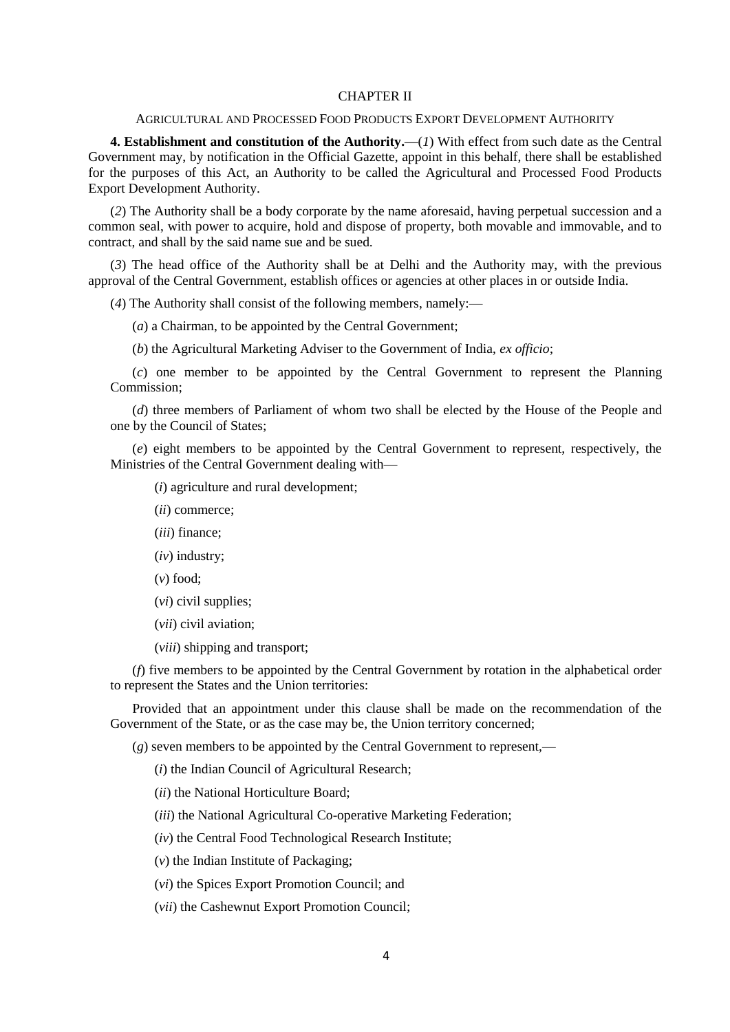#### CHAPTER II

#### AGRICULTURAL AND PROCESSED FOOD PRODUCTS EXPORT DEVELOPMENT AUTHORITY

**4. Establishment and constitution of the Authority.—**(*1*) With effect from such date as the Central Government may, by notification in the Official Gazette, appoint in this behalf, there shall be established for the purposes of this Act, an Authority to be called the Agricultural and Processed Food Products Export Development Authority.

(*2*) The Authority shall be a body corporate by the name aforesaid, having perpetual succession and a common seal, with power to acquire, hold and dispose of property, both movable and immovable, and to contract, and shall by the said name sue and be sued.

(*3*) The head office of the Authority shall be at Delhi and the Authority may, with the previous approval of the Central Government, establish offices or agencies at other places in or outside India.

(*4*) The Authority shall consist of the following members, namely:—

(*a*) a Chairman, to be appointed by the Central Government;

(*b*) the Agricultural Marketing Adviser to the Government of India, *ex officio*;

(*c*) one member to be appointed by the Central Government to represent the Planning Commission;

(*d*) three members of Parliament of whom two shall be elected by the House of the People and one by the Council of States;

(*e*) eight members to be appointed by the Central Government to represent, respectively, the Ministries of the Central Government dealing with—

(*i*) agriculture and rural development;

(*ii*) commerce;

(*iii*) finance;

(*iv*) industry;

(*v*) food;

(*vi*) civil supplies;

(*vii*) civil aviation;

(*viii*) shipping and transport;

(*f*) five members to be appointed by the Central Government by rotation in the alphabetical order to represent the States and the Union territories:

Provided that an appointment under this clause shall be made on the recommendation of the Government of the State, or as the case may be, the Union territory concerned;

(*g*) seven members to be appointed by the Central Government to represent,—

(*i*) the Indian Council of Agricultural Research;

(*ii*) the National Horticulture Board;

(*iii*) the National Agricultural Co-operative Marketing Federation;

(*iv*) the Central Food Technological Research Institute;

(*v*) the Indian Institute of Packaging;

(*vi*) the Spices Export Promotion Council; and

(*vii*) the Cashewnut Export Promotion Council;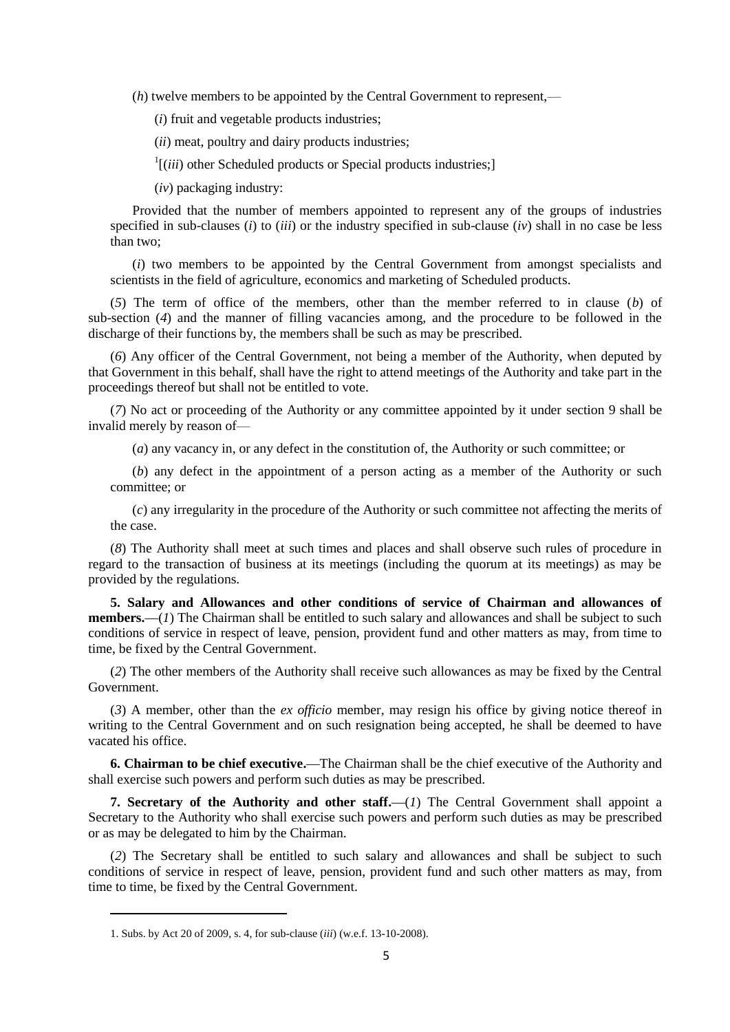(*h*) twelve members to be appointed by the Central Government to represent,—

(*i*) fruit and vegetable products industries;

(*ii*) meat, poultry and dairy products industries;

 $\frac{1}{i}$ [*(iii*) other Scheduled products or Special products industries;]

(*iv*) packaging industry:

Provided that the number of members appointed to represent any of the groups of industries specified in sub-clauses (*i*) to (*iii*) or the industry specified in sub-clause (*iv*) shall in no case be less than two;

(*i*) two members to be appointed by the Central Government from amongst specialists and scientists in the field of agriculture, economics and marketing of Scheduled products.

(*5*) The term of office of the members, other than the member referred to in clause (*b*) of sub-section (*4*) and the manner of filling vacancies among, and the procedure to be followed in the discharge of their functions by, the members shall be such as may be prescribed.

(*6*) Any officer of the Central Government, not being a member of the Authority, when deputed by that Government in this behalf, shall have the right to attend meetings of the Authority and take part in the proceedings thereof but shall not be entitled to vote.

(*7*) No act or proceeding of the Authority or any committee appointed by it under section 9 shall be invalid merely by reason of—

(*a*) any vacancy in, or any defect in the constitution of, the Authority or such committee; or

(*b*) any defect in the appointment of a person acting as a member of the Authority or such committee; or

(*c*) any irregularity in the procedure of the Authority or such committee not affecting the merits of the case.

(*8*) The Authority shall meet at such times and places and shall observe such rules of procedure in regard to the transaction of business at its meetings (including the quorum at its meetings) as may be provided by the regulations.

**5. Salary and Allowances and other conditions of service of Chairman and allowances of members.—**(*1*) The Chairman shall be entitled to such salary and allowances and shall be subject to such conditions of service in respect of leave, pension, provident fund and other matters as may, from time to time, be fixed by the Central Government.

(*2*) The other members of the Authority shall receive such allowances as may be fixed by the Central Government.

(*3*) A member, other than the *ex officio* member, may resign his office by giving notice thereof in writing to the Central Government and on such resignation being accepted, he shall be deemed to have vacated his office.

**6. Chairman to be chief executive.—**The Chairman shall be the chief executive of the Authority and shall exercise such powers and perform such duties as may be prescribed.

**7. Secretary of the Authority and other staff.**—(*1*) The Central Government shall appoint a Secretary to the Authority who shall exercise such powers and perform such duties as may be prescribed or as may be delegated to him by the Chairman.

(*2*) The Secretary shall be entitled to such salary and allowances and shall be subject to such conditions of service in respect of leave, pension, provident fund and such other matters as may, from time to time, be fixed by the Central Government.

<sup>1.</sup> Subs. by Act 20 of 2009, s. 4, for sub-clause (*iii*) (w.e.f. 13-10-2008).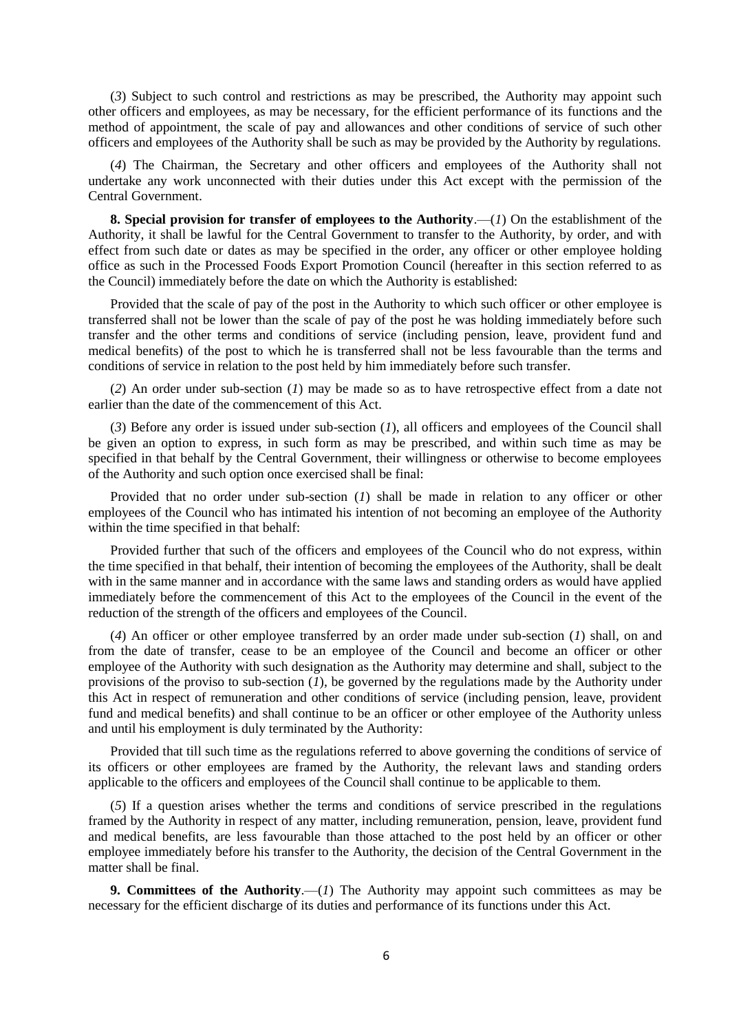(*3*) Subject to such control and restrictions as may be prescribed, the Authority may appoint such other officers and employees, as may be necessary, for the efficient performance of its functions and the method of appointment, the scale of pay and allowances and other conditions of service of such other officers and employees of the Authority shall be such as may be provided by the Authority by regulations.

(*4*) The Chairman, the Secretary and other officers and employees of the Authority shall not undertake any work unconnected with their duties under this Act except with the permission of the Central Government.

**8. Special provision for transfer of employees to the Authority**.—(*1*) On the establishment of the Authority, it shall be lawful for the Central Government to transfer to the Authority, by order, and with effect from such date or dates as may be specified in the order, any officer or other employee holding office as such in the Processed Foods Export Promotion Council (hereafter in this section referred to as the Council) immediately before the date on which the Authority is established:

Provided that the scale of pay of the post in the Authority to which such officer or other employee is transferred shall not be lower than the scale of pay of the post he was holding immediately before such transfer and the other terms and conditions of service (including pension, leave, provident fund and medical benefits) of the post to which he is transferred shall not be less favourable than the terms and conditions of service in relation to the post held by him immediately before such transfer.

(*2*) An order under sub-section (*1*) may be made so as to have retrospective effect from a date not earlier than the date of the commencement of this Act.

(*3*) Before any order is issued under sub-section (*1*), all officers and employees of the Council shall be given an option to express, in such form as may be prescribed, and within such time as may be specified in that behalf by the Central Government, their willingness or otherwise to become employees of the Authority and such option once exercised shall be final:

Provided that no order under sub-section (*1*) shall be made in relation to any officer or other employees of the Council who has intimated his intention of not becoming an employee of the Authority within the time specified in that behalf:

Provided further that such of the officers and employees of the Council who do not express, within the time specified in that behalf, their intention of becoming the employees of the Authority, shall be dealt with in the same manner and in accordance with the same laws and standing orders as would have applied immediately before the commencement of this Act to the employees of the Council in the event of the reduction of the strength of the officers and employees of the Council.

(*4*) An officer or other employee transferred by an order made under sub-section (*1*) shall, on and from the date of transfer, cease to be an employee of the Council and become an officer or other employee of the Authority with such designation as the Authority may determine and shall, subject to the provisions of the proviso to sub-section (*1*), be governed by the regulations made by the Authority under this Act in respect of remuneration and other conditions of service (including pension, leave, provident fund and medical benefits) and shall continue to be an officer or other employee of the Authority unless and until his employment is duly terminated by the Authority:

Provided that till such time as the regulations referred to above governing the conditions of service of its officers or other employees are framed by the Authority, the relevant laws and standing orders applicable to the officers and employees of the Council shall continue to be applicable to them.

(*5*) If a question arises whether the terms and conditions of service prescribed in the regulations framed by the Authority in respect of any matter, including remuneration, pension, leave, provident fund and medical benefits, are less favourable than those attached to the post held by an officer or other employee immediately before his transfer to the Authority, the decision of the Central Government in the matter shall be final.

**9. Committees of the Authority.**—(*1*) The Authority may appoint such committees as may be necessary for the efficient discharge of its duties and performance of its functions under this Act.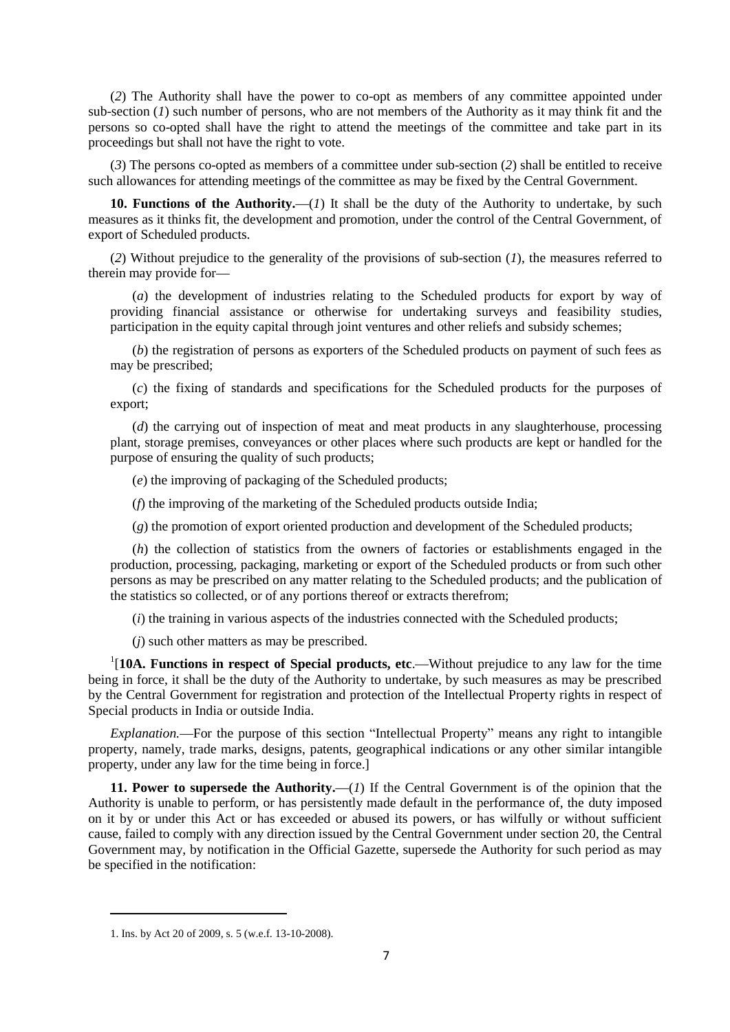(*2*) The Authority shall have the power to co-opt as members of any committee appointed under sub-section (*1*) such number of persons, who are not members of the Authority as it may think fit and the persons so co-opted shall have the right to attend the meetings of the committee and take part in its proceedings but shall not have the right to vote.

(*3*) The persons co-opted as members of a committee under sub-section (*2*) shall be entitled to receive such allowances for attending meetings of the committee as may be fixed by the Central Government.

10. Functions of the Authority.—(*1*) It shall be the duty of the Authority to undertake, by such measures as it thinks fit, the development and promotion, under the control of the Central Government, of export of Scheduled products.

(*2*) Without prejudice to the generality of the provisions of sub-section (*1*), the measures referred to therein may provide for**—**

(*a*) the development of industries relating to the Scheduled products for export by way of providing financial assistance or otherwise for undertaking surveys and feasibility studies, participation in the equity capital through joint ventures and other reliefs and subsidy schemes;

(*b*) the registration of persons as exporters of the Scheduled products on payment of such fees as may be prescribed;

(*c*) the fixing of standards and specifications for the Scheduled products for the purposes of export;

(*d*) the carrying out of inspection of meat and meat products in any slaughterhouse, processing plant, storage premises, conveyances or other places where such products are kept or handled for the purpose of ensuring the quality of such products;

(*e*) the improving of packaging of the Scheduled products;

(*f*) the improving of the marketing of the Scheduled products outside India;

(*g*) the promotion of export oriented production and development of the Scheduled products;

(*h*) the collection of statistics from the owners of factories or establishments engaged in the production, processing, packaging, marketing or export of the Scheduled products or from such other persons as may be prescribed on any matter relating to the Scheduled products; and the publication of the statistics so collected, or of any portions thereof or extracts therefrom;

(*i*) the training in various aspects of the industries connected with the Scheduled products;

(*j*) such other matters as may be prescribed.

<sup>1</sup>[10A. Functions in respect of Special products, etc.—Without prejudice to any law for the time being in force, it shall be the duty of the Authority to undertake, by such measures as may be prescribed by the Central Government for registration and protection of the Intellectual Property rights in respect of Special products in India or outside India.

*Explanation.***—**For the purpose of this section "Intellectual Property" means any right to intangible property, namely, trade marks, designs, patents, geographical indications or any other similar intangible property, under any law for the time being in force.]

**11. Power to supersede the Authority.—**(*1*) If the Central Government is of the opinion that the Authority is unable to perform, or has persistently made default in the performance of, the duty imposed on it by or under this Act or has exceeded or abused its powers, or has wilfully or without sufficient cause, failed to comply with any direction issued by the Central Government under section 20, the Central Government may, by notification in the Official Gazette, supersede the Authority for such period as may be specified in the notification:

<sup>1.</sup> Ins. by Act 20 of 2009, s. 5 (w.e.f. 13-10-2008).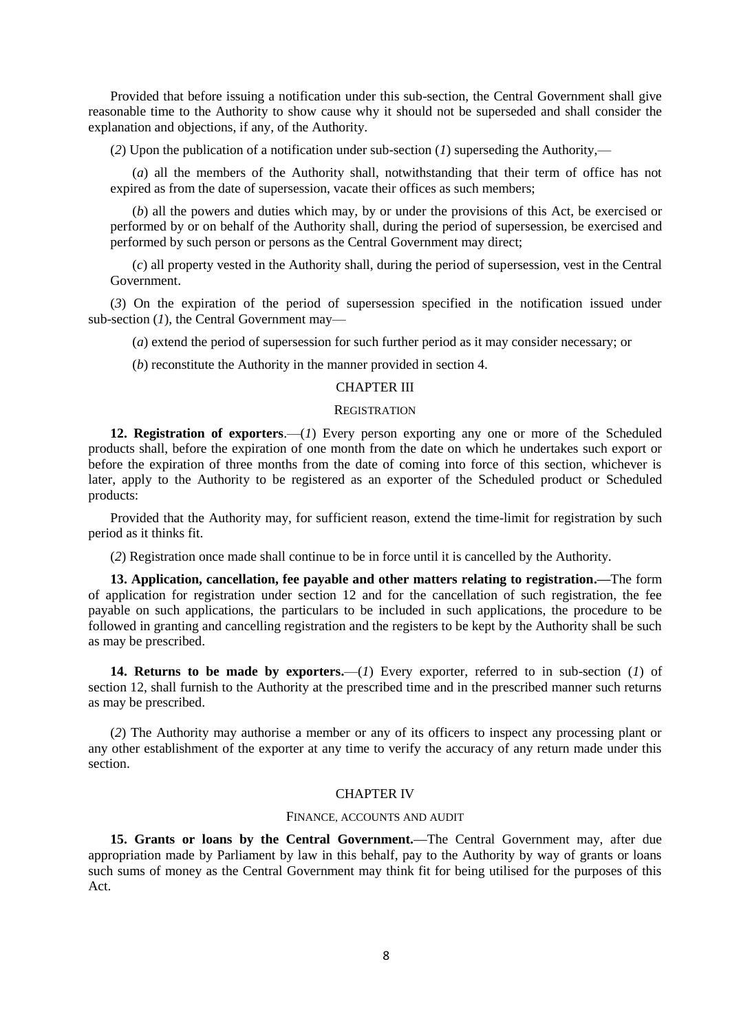Provided that before issuing a notification under this sub-section, the Central Government shall give reasonable time to the Authority to show cause why it should not be superseded and shall consider the explanation and objections, if any, of the Authority.

(*2*) Upon the publication of a notification under sub-section (*1*) superseding the Authority,—

(*a*) all the members of the Authority shall, notwithstanding that their term of office has not expired as from the date of supersession, vacate their offices as such members;

(*b*) all the powers and duties which may, by or under the provisions of this Act, be exercised or performed by or on behalf of the Authority shall, during the period of supersession, be exercised and performed by such person or persons as the Central Government may direct;

(*c*) all property vested in the Authority shall, during the period of supersession, vest in the Central Government.

(*3*) On the expiration of the period of supersession specified in the notification issued under sub-section (*1*), the Central Government may—

(*a*) extend the period of supersession for such further period as it may consider necessary; or

(*b*) reconstitute the Authority in the manner provided in section 4.

### CHAPTER III

### **REGISTRATION**

**12. Registration of exporters**.—(*1*) Every person exporting any one or more of the Scheduled products shall, before the expiration of one month from the date on which he undertakes such export or before the expiration of three months from the date of coming into force of this section, whichever is later, apply to the Authority to be registered as an exporter of the Scheduled product or Scheduled products:

Provided that the Authority may, for sufficient reason, extend the time-limit for registration by such period as it thinks fit.

(*2*) Registration once made shall continue to be in force until it is cancelled by the Authority.

**13. Application, cancellation, fee payable and other matters relating to registration.—**The form of application for registration under section 12 and for the cancellation of such registration, the fee payable on such applications, the particulars to be included in such applications, the procedure to be followed in granting and cancelling registration and the registers to be kept by the Authority shall be such as may be prescribed.

**14. Returns to be made by exporters.**—(*1*) Every exporter, referred to in sub-section (*1*) of section 12, shall furnish to the Authority at the prescribed time and in the prescribed manner such returns as may be prescribed.

(*2*) The Authority may authorise a member or any of its officers to inspect any processing plant or any other establishment of the exporter at any time to verify the accuracy of any return made under this section.

#### CHAPTER IV

### FINANCE, ACCOUNTS AND AUDIT

**15. Grants or loans by the Central Government.—**The Central Government may, after due appropriation made by Parliament by law in this behalf, pay to the Authority by way of grants or loans such sums of money as the Central Government may think fit for being utilised for the purposes of this Act.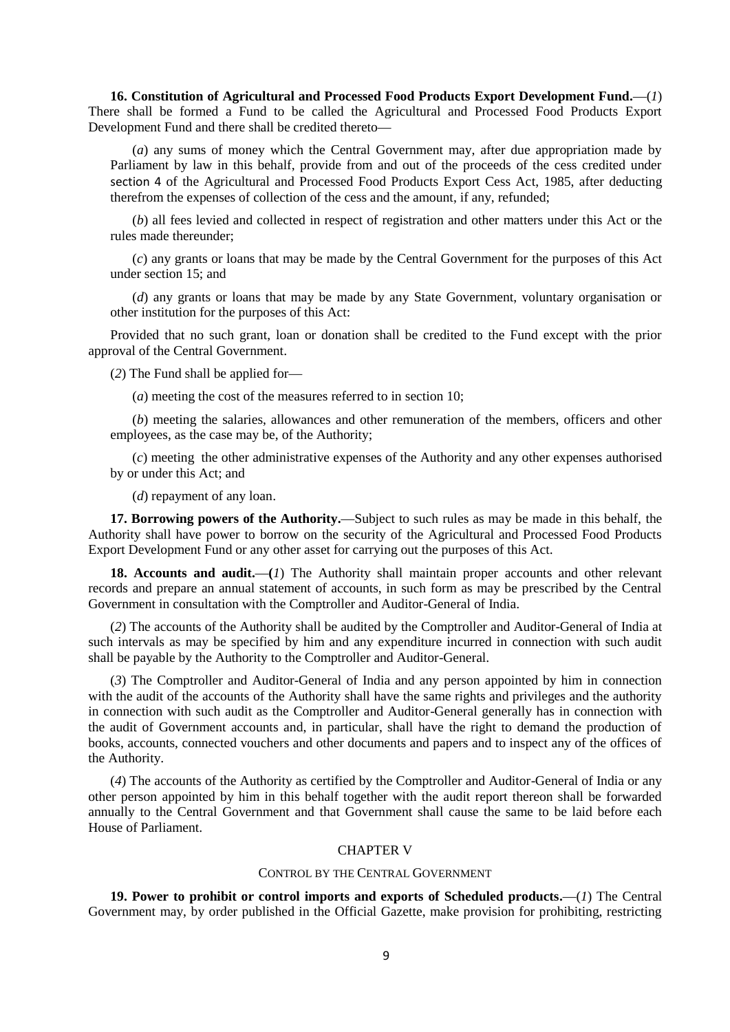**16. Constitution of Agricultural and Processed Food Products Export Development Fund.—**(*1*) There shall be formed a Fund to be called the Agricultural and Processed Food Products Export Development Fund and there shall be credited thereto**—**

(*a*) any sums of money which the Central Government may, after due appropriation made by Parliament by law in this behalf, provide from and out of the proceeds of the cess credited under section 4 of the Agricultural and Processed Food Products Export Cess Act, 1985, after deducting therefrom the expenses of collection of the cess and the amount, if any, refunded;

(*b*) all fees levied and collected in respect of registration and other matters under this Act or the rules made thereunder;

(*c*) any grants or loans that may be made by the Central Government for the purposes of this Act under section 15; and

(*d*) any grants or loans that may be made by any State Government, voluntary organisation or other institution for the purposes of this Act:

Provided that no such grant, loan or donation shall be credited to the Fund except with the prior approval of the Central Government.

(*2*) The Fund shall be applied for**—**

(*a*) meeting the cost of the measures referred to in section 10;

(*b*) meeting the salaries, allowances and other remuneration of the members, officers and other employees, as the case may be, of the Authority;

(*c*) meeting the other administrative expenses of the Authority and any other expenses authorised by or under this Act; and

(*d*) repayment of any loan.

**17. Borrowing powers of the Authority.—**Subject to such rules as may be made in this behalf, the Authority shall have power to borrow on the security of the Agricultural and Processed Food Products Export Development Fund or any other asset for carrying out the purposes of this Act.

18. Accounts and audit.—(*1*) The Authority shall maintain proper accounts and other relevant records and prepare an annual statement of accounts, in such form as may be prescribed by the Central Government in consultation with the Comptroller and Auditor-General of India.

(*2*) The accounts of the Authority shall be audited by the Comptroller and Auditor-General of India at such intervals as may be specified by him and any expenditure incurred in connection with such audit shall be payable by the Authority to the Comptroller and Auditor-General.

(*3*) The Comptroller and Auditor-General of India and any person appointed by him in connection with the audit of the accounts of the Authority shall have the same rights and privileges and the authority in connection with such audit as the Comptroller and Auditor-General generally has in connection with the audit of Government accounts and, in particular, shall have the right to demand the production of books, accounts, connected vouchers and other documents and papers and to inspect any of the offices of the Authority.

(*4*) The accounts of the Authority as certified by the Comptroller and Auditor-General of India or any other person appointed by him in this behalf together with the audit report thereon shall be forwarded annually to the Central Government and that Government shall cause the same to be laid before each House of Parliament.

### CHAPTER V

#### CONTROL BY THE CENTRAL GOVERNMENT

**19. Power to prohibit or control imports and exports of Scheduled products.—**(*1*) The Central Government may, by order published in the Official Gazette, make provision for prohibiting, restricting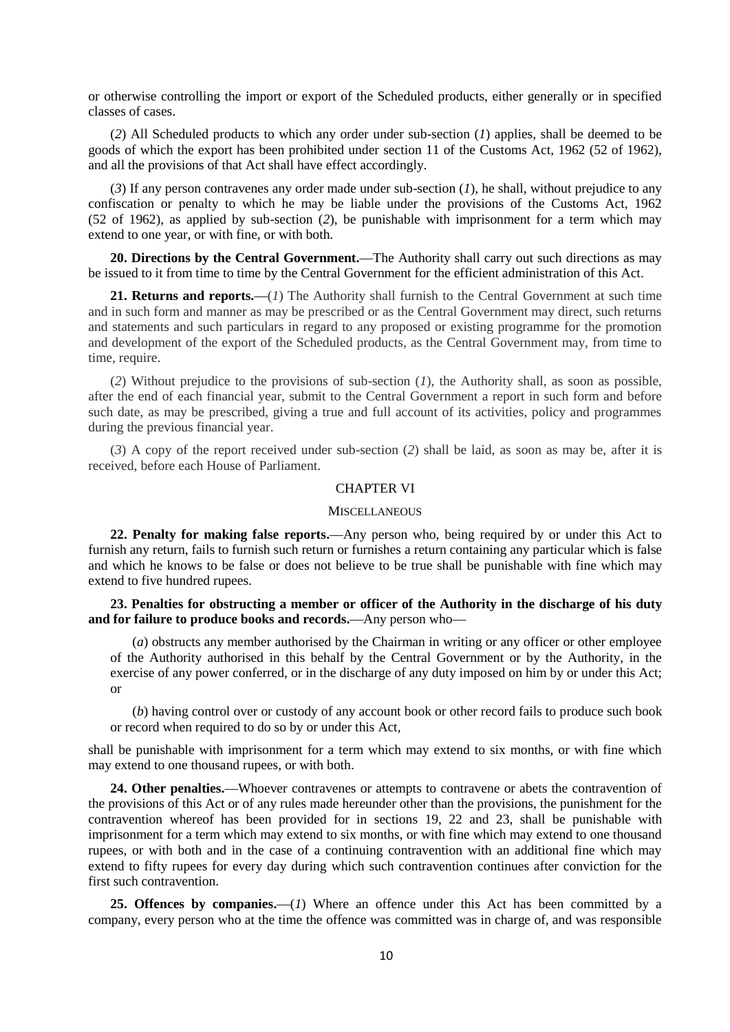or otherwise controlling the import or export of the Scheduled products, either generally or in specified classes of cases.

(*2*) All Scheduled products to which any order under sub-section (*1*) applies, shall be deemed to be goods of which the export has been prohibited under section 11 of the Customs Act, 1962 (52 of 1962), and all the provisions of that Act shall have effect accordingly.

(*3*) If any person contravenes any order made under sub-section (*1*), he shall, without prejudice to any confiscation or penalty to which he may be liable under the provisions of the Customs Act, 1962 (52 of 1962), as applied by sub-section (*2*), be punishable with imprisonment for a term which may extend to one year, or with fine, or with both.

**20. Directions by the Central Government.—**The Authority shall carry out such directions as may be issued to it from time to time by the Central Government for the efficient administration of this Act.

**21. Returns and reports.—**(*1*) The Authority shall furnish to the Central Government at such time and in such form and manner as may be prescribed or as the Central Government may direct, such returns and statements and such particulars in regard to any proposed or existing programme for the promotion and development of the export of the Scheduled products, as the Central Government may, from time to time, require.

(*2*) Without prejudice to the provisions of sub-section (*1*), the Authority shall, as soon as possible, after the end of each financial year, submit to the Central Government a report in such form and before such date, as may be prescribed, giving a true and full account of its activities, policy and programmes during the previous financial year.

(*3*) A copy of the report received under sub-section (*2*) shall be laid, as soon as may be, after it is received, before each House of Parliament.

### CHAPTER VI

#### **MISCELLANEOUS**

**22. Penalty for making false reports.—**Any person who, being required by or under this Act to furnish any return, fails to furnish such return or furnishes a return containing any particular which is false and which he knows to be false or does not believe to be true shall be punishable with fine which may extend to five hundred rupees.

### **23. Penalties for obstructing a member or officer of the Authority in the discharge of his duty and for failure to produce books and records.—**Any person who**—**

(*a*) obstructs any member authorised by the Chairman in writing or any officer or other employee of the Authority authorised in this behalf by the Central Government or by the Authority, in the exercise of any power conferred, or in the discharge of any duty imposed on him by or under this Act; or

(*b*) having control over or custody of any account book or other record fails to produce such book or record when required to do so by or under this Act,

shall be punishable with imprisonment for a term which may extend to six months, or with fine which may extend to one thousand rupees, or with both.

**24. Other penalties.—**Whoever contravenes or attempts to contravene or abets the contravention of the provisions of this Act or of any rules made hereunder other than the provisions, the punishment for the contravention whereof has been provided for in sections 19, 22 and 23, shall be punishable with imprisonment for a term which may extend to six months, or with fine which may extend to one thousand rupees, or with both and in the case of a continuing contravention with an additional fine which may extend to fifty rupees for every day during which such contravention continues after conviction for the first such contravention.

**25. Offences by companies.—**(*1*) Where an offence under this Act has been committed by a company, every person who at the time the offence was committed was in charge of, and was responsible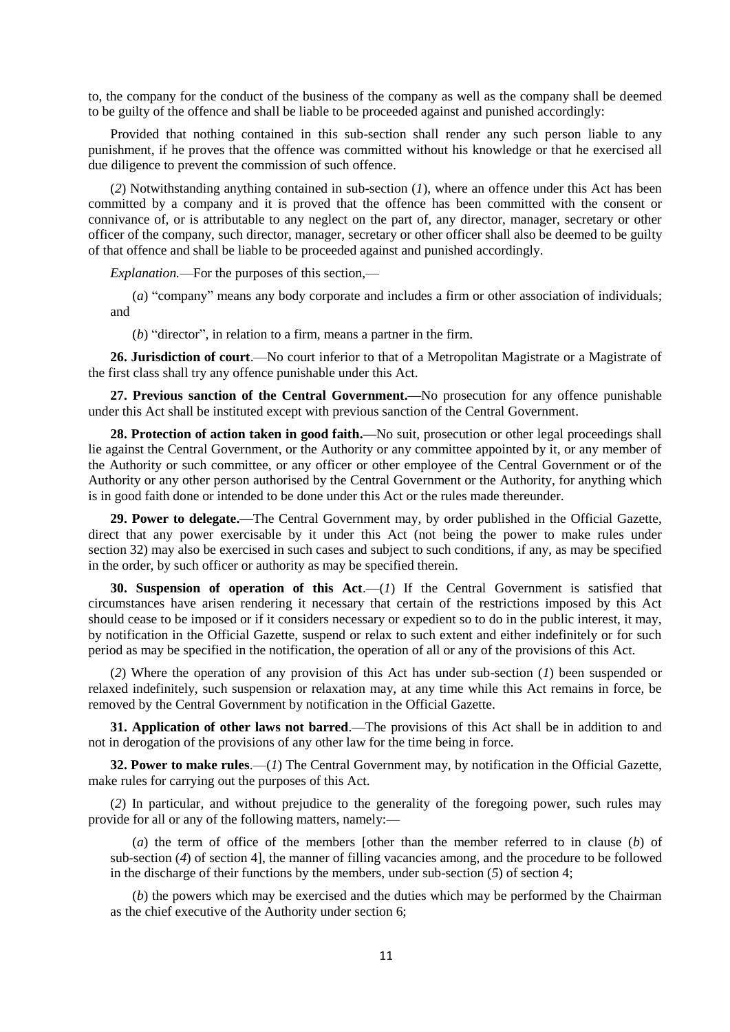to, the company for the conduct of the business of the company as well as the company shall be deemed to be guilty of the offence and shall be liable to be proceeded against and punished accordingly:

Provided that nothing contained in this sub-section shall render any such person liable to any punishment, if he proves that the offence was committed without his knowledge or that he exercised all due diligence to prevent the commission of such offence.

(*2*) Notwithstanding anything contained in sub-section (*1*), where an offence under this Act has been committed by a company and it is proved that the offence has been committed with the consent or connivance of, or is attributable to any neglect on the part of, any director, manager, secretary or other officer of the company, such director, manager, secretary or other officer shall also be deemed to be guilty of that offence and shall be liable to be proceeded against and punished accordingly.

*Explanation.*—For the purposes of this section,—

(*a*) "company" means any body corporate and includes a firm or other association of individuals; and

(*b*) "director", in relation to a firm, means a partner in the firm.

**26. Jurisdiction of court**.—No court inferior to that of a Metropolitan Magistrate or a Magistrate of the first class shall try any offence punishable under this Act.

**27. Previous sanction of the Central Government.—**No prosecution for any offence punishable under this Act shall be instituted except with previous sanction of the Central Government.

**28. Protection of action taken in good faith.—**No suit, prosecution or other legal proceedings shall lie against the Central Government, or the Authority or any committee appointed by it, or any member of the Authority or such committee, or any officer or other employee of the Central Government or of the Authority or any other person authorised by the Central Government or the Authority, for anything which is in good faith done or intended to be done under this Act or the rules made thereunder.

**29. Power to delegate.—**The Central Government may, by order published in the Official Gazette, direct that any power exercisable by it under this Act (not being the power to make rules under section 32) may also be exercised in such cases and subject to such conditions, if any, as may be specified in the order, by such officer or authority as may be specified therein.

**30. Suspension of operation of this Act**.—(*1*) If the Central Government is satisfied that circumstances have arisen rendering it necessary that certain of the restrictions imposed by this Act should cease to be imposed or if it considers necessary or expedient so to do in the public interest, it may, by notification in the Official Gazette, suspend or relax to such extent and either indefinitely or for such period as may be specified in the notification, the operation of all or any of the provisions of this Act.

(*2*) Where the operation of any provision of this Act has under sub-section (*1*) been suspended or relaxed indefinitely, such suspension or relaxation may, at any time while this Act remains in force, be removed by the Central Government by notification in the Official Gazette.

**31. Application of other laws not barred**.—The provisions of this Act shall be in addition to and not in derogation of the provisions of any other law for the time being in force.

**32. Power to make rules**.—(*1*) The Central Government may, by notification in the Official Gazette, make rules for carrying out the purposes of this Act.

(*2*) In particular, and without prejudice to the generality of the foregoing power, such rules may provide for all or any of the following matters, namely:—

(*a*) the term of office of the members [other than the member referred to in clause (*b*) of sub-section (*4*) of section 4], the manner of filling vacancies among, and the procedure to be followed in the discharge of their functions by the members, under sub-section (*5*) of section 4;

(*b*) the powers which may be exercised and the duties which may be performed by the Chairman as the chief executive of the Authority under section 6;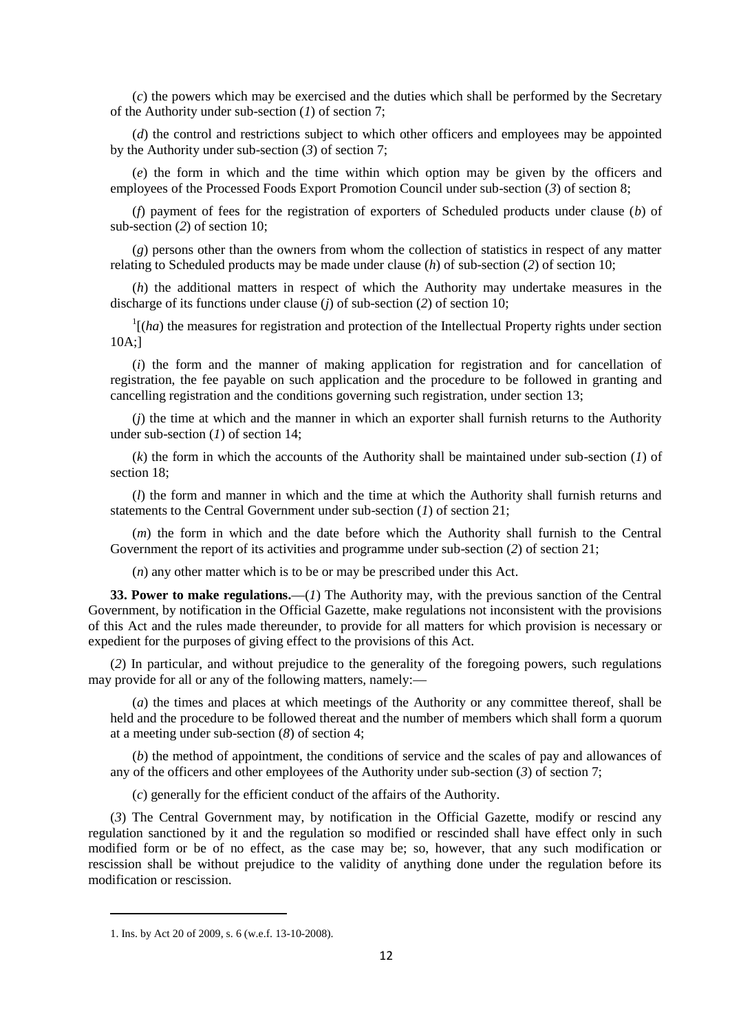(*c*) the powers which may be exercised and the duties which shall be performed by the Secretary of the Authority under sub-section (*1*) of section 7;

(*d*) the control and restrictions subject to which other officers and employees may be appointed by the Authority under sub-section (*3*) of section 7;

(*e*) the form in which and the time within which option may be given by the officers and employees of the Processed Foods Export Promotion Council under sub-section (*3*) of section 8;

(*f*) payment of fees for the registration of exporters of Scheduled products under clause (*b*) of sub-section (*2*) of section 10;

(*g*) persons other than the owners from whom the collection of statistics in respect of any matter relating to Scheduled products may be made under clause (*h*) of sub-section (*2*) of section 10;

(*h*) the additional matters in respect of which the Authority may undertake measures in the discharge of its functions under clause (*j*) of sub-section (*2*) of section 10;

 $\frac{1}{1}$ (*ha*) the measures for registration and protection of the Intellectual Property rights under section 10A;]

(*i*) the form and the manner of making application for registration and for cancellation of registration, the fee payable on such application and the procedure to be followed in granting and cancelling registration and the conditions governing such registration, under section 13;

(*j*) the time at which and the manner in which an exporter shall furnish returns to the Authority under sub-section (*1*) of section 14;

(*k*) the form in which the accounts of the Authority shall be maintained under sub-section (*1*) of section 18;

(*l*) the form and manner in which and the time at which the Authority shall furnish returns and statements to the Central Government under sub-section (*1*) of section 21;

(*m*) the form in which and the date before which the Authority shall furnish to the Central Government the report of its activities and programme under sub-section (*2*) of section 21;

(*n*) any other matter which is to be or may be prescribed under this Act.

**33. Power to make regulations.—**(*1*) The Authority may, with the previous sanction of the Central Government, by notification in the Official Gazette, make regulations not inconsistent with the provisions of this Act and the rules made thereunder, to provide for all matters for which provision is necessary or expedient for the purposes of giving effect to the provisions of this Act.

(*2*) In particular, and without prejudice to the generality of the foregoing powers, such regulations may provide for all or any of the following matters, namely:**—**

(*a*) the times and places at which meetings of the Authority or any committee thereof, shall be held and the procedure to be followed thereat and the number of members which shall form a quorum at a meeting under sub-section (*8*) of section 4;

(*b*) the method of appointment, the conditions of service and the scales of pay and allowances of any of the officers and other employees of the Authority under sub-section (*3*) of section 7;

(*c*) generally for the efficient conduct of the affairs of the Authority.

(*3*) The Central Government may, by notification in the Official Gazette, modify or rescind any regulation sanctioned by it and the regulation so modified or rescinded shall have effect only in such modified form or be of no effect, as the case may be; so, however, that any such modification or rescission shall be without prejudice to the validity of anything done under the regulation before its modification or rescission.

<sup>1.</sup> Ins. by Act 20 of 2009, s. 6 (w.e.f. 13-10-2008).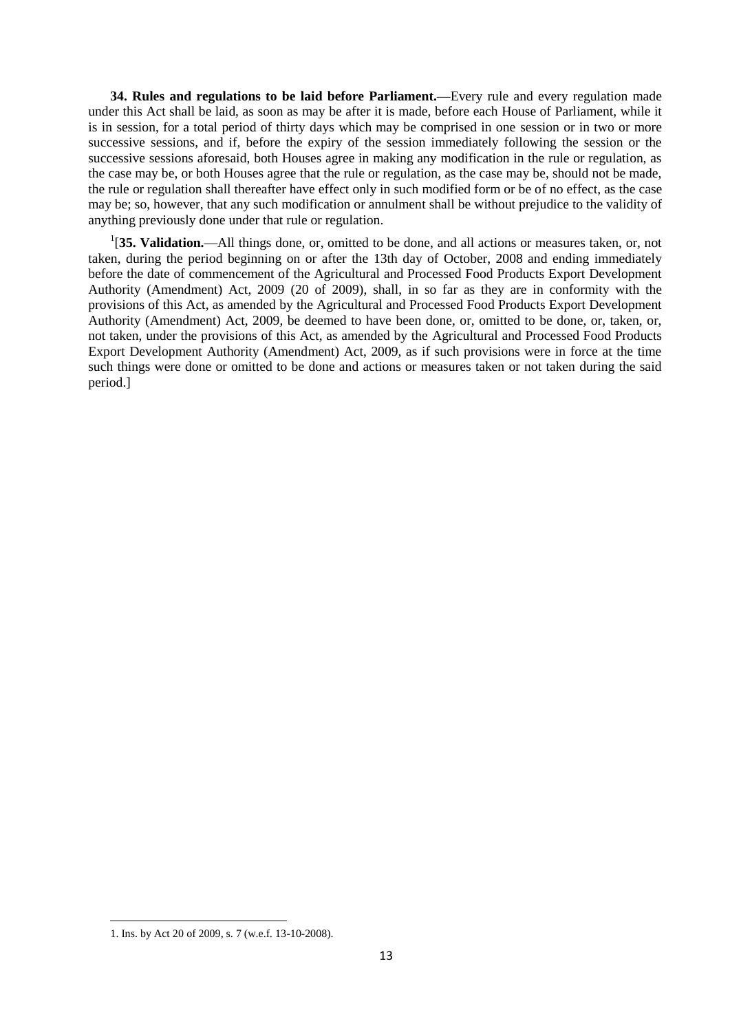**34. Rules and regulations to be laid before Parliament.—**Every rule and every regulation made under this Act shall be laid, as soon as may be after it is made, before each House of Parliament, while it is in session, for a total period of thirty days which may be comprised in one session or in two or more successive sessions, and if, before the expiry of the session immediately following the session or the successive sessions aforesaid, both Houses agree in making any modification in the rule or regulation, as the case may be, or both Houses agree that the rule or regulation, as the case may be, should not be made, the rule or regulation shall thereafter have effect only in such modified form or be of no effect, as the case may be; so, however, that any such modification or annulment shall be without prejudice to the validity of anything previously done under that rule or regulation.

<sup>1</sup>[35. Validation.—All things done, or, omitted to be done, and all actions or measures taken, or, not taken, during the period beginning on or after the 13th day of October, 2008 and ending immediately before the date of commencement of the Agricultural and Processed Food Products Export Development Authority (Amendment) Act, 2009 (20 of 2009), shall, in so far as they are in conformity with the provisions of this Act, as amended by the Agricultural and Processed Food Products Export Development Authority (Amendment) Act, 2009, be deemed to have been done, or, omitted to be done, or, taken, or, not taken, under the provisions of this Act, as amended by the Agricultural and Processed Food Products Export Development Authority (Amendment) Act, 2009, as if such provisions were in force at the time such things were done or omitted to be done and actions or measures taken or not taken during the said period.]

<sup>1.</sup> Ins. by Act 20 of 2009, s. 7 (w.e.f. 13-10-2008).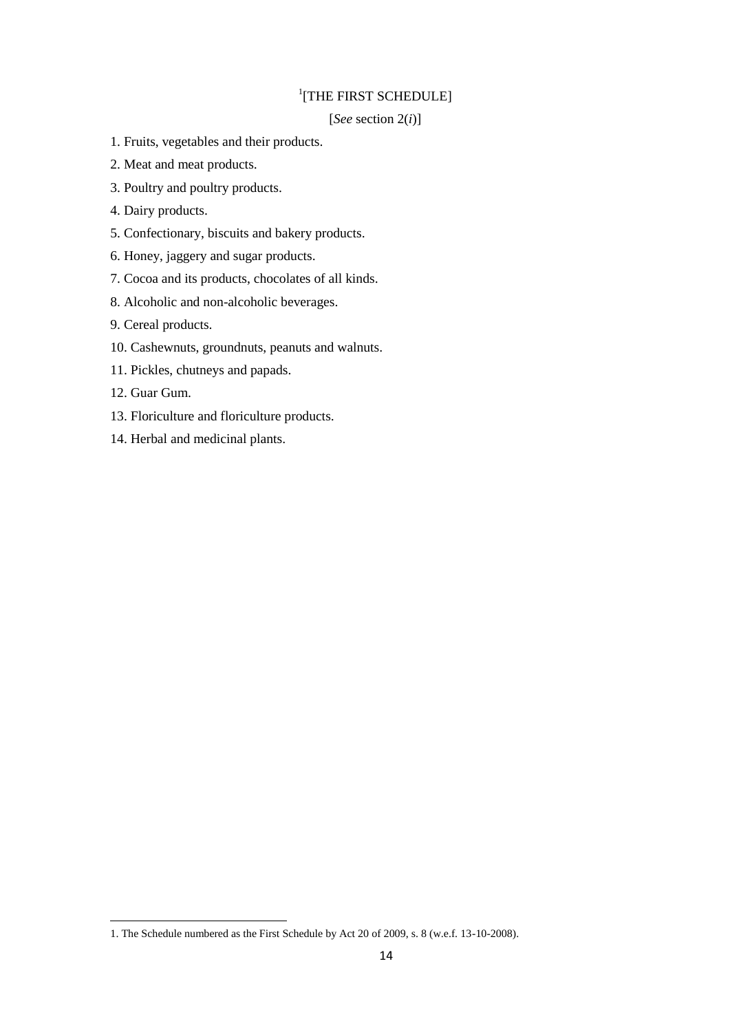# <sup>1</sup>[THE FIRST SCHEDULE]

## [*See* section 2(*i*)]

- 1. Fruits, vegetables and their products.
- 2. Meat and meat products.
- 3. Poultry and poultry products.
- 4. Dairy products.
- 5. Confectionary, biscuits and bakery products.
- 6. Honey, jaggery and sugar products.
- 7. Cocoa and its products, chocolates of all kinds.
- 8. Alcoholic and non-alcoholic beverages.
- 9. Cereal products.
- 10. Cashewnuts, groundnuts, peanuts and walnuts.
- 11. Pickles, chutneys and papads.
- 12. Guar Gum.

- 13. Floriculture and floriculture products.
- 14. Herbal and medicinal plants.

<sup>1.</sup> The Schedule numbered as the First Schedule by Act 20 of 2009, s. 8 (w.e.f. 13-10-2008).